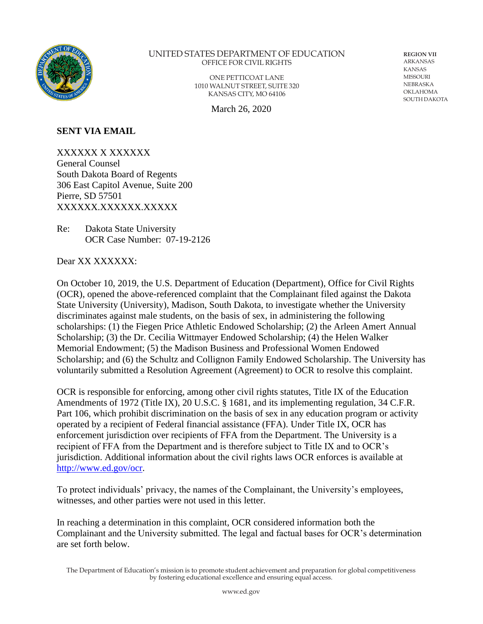

#### UNITED STATES DEPARTMENT OF EDUCATION OFFICE FOR CIVIL RIGHTS

ONE PETTICOAT LANE 1010 WALNUT STREET, SUITE 320 KANSAS CITY, MO 64106

March 26, 2020

**REGION VII**  ARKANSAS KANSAS MISSOURI NEBRASKA OKLAHOMA SOUTH DAKOTA

#### **SENT VIA EMAIL**

XXXXXX X XXXXXX General Counsel South Dakota Board of Regents 306 East Capitol Avenue, Suite 200 Pierre, SD 57501 XXXXXX.XXXXXX.XXXXX

Re: Dakota State University OCR Case Number: 07-19-2126

Dear XX XXXXXX:

On October 10, 2019, the U.S. Department of Education (Department), Office for Civil Rights (OCR), opened the above-referenced complaint that the Complainant filed against the Dakota State University (University), Madison, South Dakota, to investigate whether the University discriminates against male students, on the basis of sex, in administering the following scholarships: (1) the Fiegen Price Athletic Endowed Scholarship; (2) the Arleen Amert Annual Scholarship; (3) the Dr. Cecilia Wittmayer Endowed Scholarship; (4) the Helen Walker Memorial Endowment; (5) the Madison Business and Professional Women Endowed Scholarship; and (6) the Schultz and Collignon Family Endowed Scholarship. The University has voluntarily submitted a Resolution Agreement (Agreement) to OCR to resolve this complaint.

OCR is responsible for enforcing, among other civil rights statutes, Title IX of the Education Amendments of 1972 (Title IX), 20 U.S.C. § 1681, and its implementing regulation, 34 C.F.R. Part 106, which prohibit discrimination on the basis of sex in any education program or activity operated by a recipient of Federal financial assistance (FFA). Under Title IX, OCR has enforcement jurisdiction over recipients of FFA from the Department. The University is a recipient of FFA from the Department and is therefore subject to Title IX and to OCR's jurisdiction. Additional information about the civil rights laws OCR enforces is available at [http://www.ed.gov/ocr.](http://www.ed.gov/ocr)

To protect individuals' privacy, the names of the Complainant, the University's employees, witnesses, and other parties were not used in this letter.

In reaching a determination in this complaint, OCR considered information both the Complainant and the University submitted. The legal and factual bases for OCR's determination are set forth below.

The Department of Education's mission is to promote student achievement and preparation for global competitiveness by fostering educational excellence and ensuring equal access.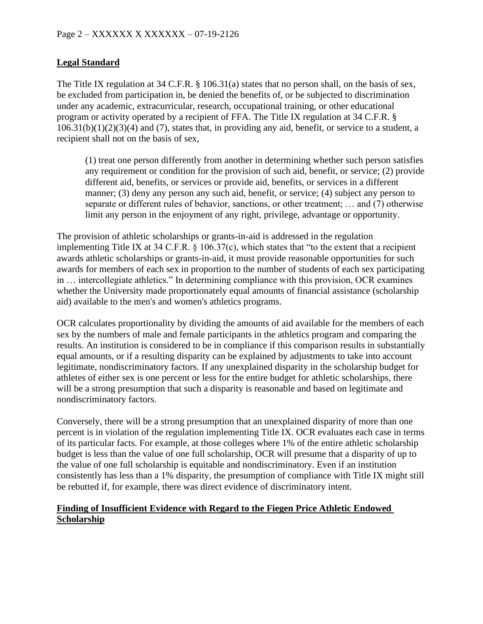## **Legal Standard**

The Title IX regulation at 34 C.F.R. § 106.31(a) states that no person shall, on the basis of sex, be excluded from participation in, be denied the benefits of, or be subjected to discrimination under any academic, extracurricular, research, occupational training, or other educational program or activity operated by a recipient of FFA. The Title IX regulation at 34 C.F.R. §  $106.31(b)(1)(2)(3)(4)$  and (7), states that, in providing any aid, benefit, or service to a student, a recipient shall not on the basis of sex,

(1) treat one person differently from another in determining whether such person satisfies any requirement or condition for the provision of such aid, benefit, or service; (2) provide different aid, benefits, or services or provide aid, benefits, or services in a different manner; (3) deny any person any such aid, benefit, or service; (4) subject any person to separate or different rules of behavior, sanctions, or other treatment; … and (7) otherwise limit any person in the enjoyment of any right, privilege, advantage or opportunity.

The provision of athletic scholarships or grants-in-aid is addressed in the regulation implementing Title IX at 34 C.F.R. § 106.37(c), which states that "to the extent that a recipient awards athletic scholarships or grants-in-aid, it must provide reasonable opportunities for such awards for members of each sex in proportion to the number of students of each sex participating in … intercollegiate athletics." In determining compliance with this provision, OCR examines whether the University made proportionately equal amounts of financial assistance (scholarship aid) available to the men's and women's athletics programs.

OCR calculates proportionality by dividing the amounts of aid available for the members of each sex by the numbers of male and female participants in the athletics program and comparing the results. An institution is considered to be in compliance if this comparison results in substantially equal amounts, or if a resulting disparity can be explained by adjustments to take into account legitimate, nondiscriminatory factors. If any unexplained disparity in the scholarship budget for athletes of either sex is one percent or less for the entire budget for athletic scholarships, there will be a strong presumption that such a disparity is reasonable and based on legitimate and nondiscriminatory factors.

Conversely, there will be a strong presumption that an unexplained disparity of more than one percent is in violation of the regulation implementing Title IX. OCR evaluates each case in terms of its particular facts. For example, at those colleges where 1% of the entire athletic scholarship budget is less than the value of one full scholarship, OCR will presume that a disparity of up to the value of one full scholarship is equitable and nondiscriminatory. Even if an institution consistently has less than a 1% disparity, the presumption of compliance with Title IX might still be rebutted if, for example, there was direct evidence of discriminatory intent.

### **Finding of Insufficient Evidence with Regard to the Fiegen Price Athletic Endowed Scholarship**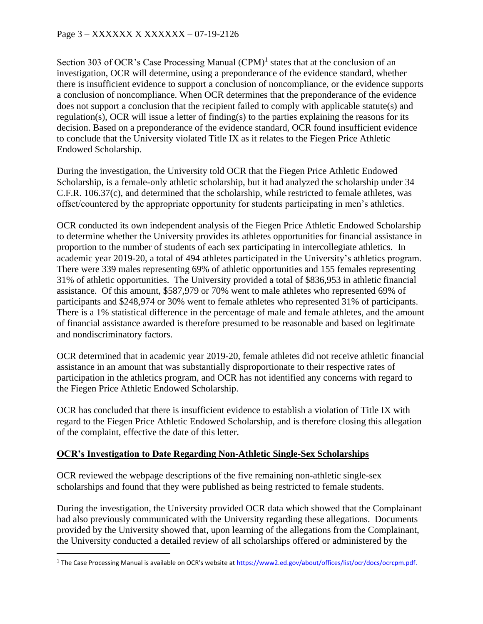Section 303 of OCR's Case Processing Manual  $(CPM)^1$  states that at the conclusion of an investigation, OCR will determine, using a preponderance of the evidence standard, whether there is insufficient evidence to support a conclusion of noncompliance, or the evidence supports a conclusion of noncompliance. When OCR determines that the preponderance of the evidence does not support a conclusion that the recipient failed to comply with applicable statute(s) and regulation(s), OCR will issue a letter of finding(s) to the parties explaining the reasons for its decision. Based on a preponderance of the evidence standard, OCR found insufficient evidence to conclude that the University violated Title IX as it relates to the Fiegen Price Athletic Endowed Scholarship.

During the investigation, the University told OCR that the Fiegen Price Athletic Endowed Scholarship, is a female-only athletic scholarship, but it had analyzed the scholarship under 34 C.F.R. 106.37(c), and determined that the scholarship, while restricted to female athletes, was offset/countered by the appropriate opportunity for students participating in men's athletics.

OCR conducted its own independent analysis of the Fiegen Price Athletic Endowed Scholarship to determine whether the University provides its athletes opportunities for financial assistance in proportion to the number of students of each sex participating in intercollegiate athletics. In academic year 2019-20, a total of 494 athletes participated in the University's athletics program. There were 339 males representing 69% of athletic opportunities and 155 females representing 31% of athletic opportunities. The University provided a total of \$836,953 in athletic financial assistance. Of this amount, \$587,979 or 70% went to male athletes who represented 69% of participants and \$248,974 or 30% went to female athletes who represented 31% of participants. There is a 1% statistical difference in the percentage of male and female athletes, and the amount of financial assistance awarded is therefore presumed to be reasonable and based on legitimate and nondiscriminatory factors.

OCR determined that in academic year 2019-20, female athletes did not receive athletic financial assistance in an amount that was substantially disproportionate to their respective rates of participation in the athletics program, and OCR has not identified any concerns with regard to the Fiegen Price Athletic Endowed Scholarship.

OCR has concluded that there is insufficient evidence to establish a violation of Title IX with regard to the Fiegen Price Athletic Endowed Scholarship, and is therefore closing this allegation of the complaint, effective the date of this letter.

# **OCR's Investigation to Date Regarding Non-Athletic Single-Sex Scholarships**

OCR reviewed the webpage descriptions of the five remaining non-athletic single-sex scholarships and found that they were published as being restricted to female students.

During the investigation, the University provided OCR data which showed that the Complainant had also previously communicated with the University regarding these allegations. Documents provided by the University showed that, upon learning of the allegations from the Complainant, the University conducted a detailed review of all scholarships offered or administered by the

<sup>&</sup>lt;sup>1</sup> The Case Processing Manual is available on OCR's website at <https://www2.ed.gov/about/offices/list/ocr/docs/ocrcpm.pdf.>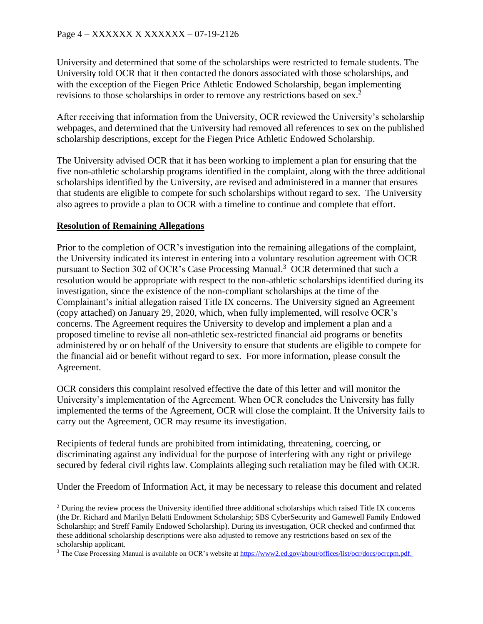University and determined that some of the scholarships were restricted to female students. The University told OCR that it then contacted the donors associated with those scholarships, and with the exception of the Fiegen Price Athletic Endowed Scholarship, began implementing revisions to those scholarships in order to remove any restrictions based on sex. 2

After receiving that information from the University, OCR reviewed the University's scholarship webpages, and determined that the University had removed all references to sex on the published scholarship descriptions, except for the Fiegen Price Athletic Endowed Scholarship.

The University advised OCR that it has been working to implement a plan for ensuring that the five non-athletic scholarship programs identified in the complaint, along with the three additional scholarships identified by the University, are revised and administered in a manner that ensures that students are eligible to compete for such scholarships without regard to sex. The University also agrees to provide a plan to OCR with a timeline to continue and complete that effort.

# **Resolution of Remaining Allegations**

Prior to the completion of OCR's investigation into the remaining allegations of the complaint, the University indicated its interest in entering into a voluntary resolution agreement with OCR pursuant to Section 302 of OCR's Case Processing Manual. <sup>3</sup> OCR determined that such a resolution would be appropriate with respect to the non-athletic scholarships identified during its investigation, since the existence of the non-compliant scholarships at the time of the Complainant's initial allegation raised Title IX concerns. The University signed an Agreement (copy attached) on January 29, 2020, which, when fully implemented, will resolve OCR's concerns. The Agreement requires the University to develop and implement a plan and a proposed timeline to revise all non-athletic sex-restricted financial aid programs or benefits administered by or on behalf of the University to ensure that students are eligible to compete for the financial aid or benefit without regard to sex. For more information, please consult the Agreement.

OCR considers this complaint resolved effective the date of this letter and will monitor the University's implementation of the Agreement. When OCR concludes the University has fully implemented the terms of the Agreement, OCR will close the complaint. If the University fails to carry out the Agreement, OCR may resume its investigation.

Recipients of federal funds are prohibited from intimidating, threatening, coercing, or discriminating against any individual for the purpose of interfering with any right or privilege secured by federal civil rights law. Complaints alleging such retaliation may be filed with OCR.

Under the Freedom of Information Act, it may be necessary to release this document and related

<sup>&</sup>lt;sup>2</sup> During the review process the University identified three additional scholarships which raised Title IX concerns (the Dr. Richard and Marilyn Belatti Endowment Scholarship; SBS CyberSecurity and Gamewell Family Endowed Scholarship; and Streff Family Endowed Scholarship). During its investigation, OCR checked and confirmed that these additional scholarship descriptions were also adjusted to remove any restrictions based on sex of the scholarship applicant.

<sup>&</sup>lt;sup>3</sup> The Case Processing Manual is available on OCR's website at [https://www2.ed.gov/about/offices/list/ocr/docs/ocrcpm.pdf.](https://www2.ed.gov/about/offices/list/ocr/docs/ocrcpm.pdf)